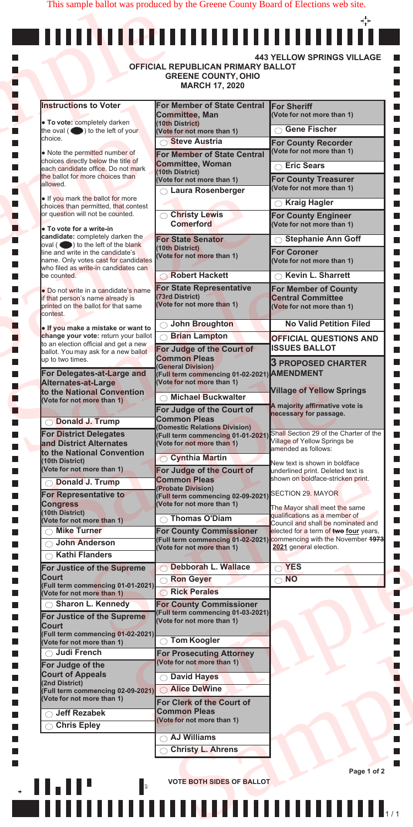|                                                                                           | <b>OFFICIAL REPUBLICAN PRIMARY BALLOT</b><br><b>GREENE COUNTY, OHIO</b><br><b>MARCH 17, 2020</b> |                                                                             |
|-------------------------------------------------------------------------------------------|--------------------------------------------------------------------------------------------------|-----------------------------------------------------------------------------|
| <b>Instructions to Voter</b>                                                              | For Member of State Central                                                                      | <b>For Sheriff</b>                                                          |
| • To vote: completely darken                                                              | <b>Committee, Man</b><br>(10th District)                                                         | (Vote for not more than 1)                                                  |
| the oval $($ $\bullet)$ to the left of your                                               | (Vote for not more than 1)                                                                       | <b>Gene Fischer</b>                                                         |
| choice.                                                                                   | <b>Steve Austria</b>                                                                             | <b>For County Recorder</b>                                                  |
| • Note the permitted number of<br>choices directly below the title of                     | For Member of State Central                                                                      | (Vote for not more than 1)                                                  |
| each candidate office. Do not mark<br>the ballot for more choices than                    | Committee, Woman<br>(10th District)                                                              | <b>Eric Sears</b>                                                           |
| allowed.                                                                                  | (Vote for not more than 1)<br><b>Laura Rosenberger</b>                                           | <b>For County Treasurer</b><br>(Vote for not more than 1)                   |
| . If you mark the ballot for more                                                         |                                                                                                  | <b>Kraig Hagler</b>                                                         |
| choices than permitted, that contest<br>or question will not be counted.                  | <b>Christy Lewis</b>                                                                             | <b>For County Engineer</b>                                                  |
| . To vote for a write-in                                                                  | <b>Comerford</b>                                                                                 | (Vote for not more than 1)                                                  |
| candidate: completely darken the                                                          | <b>For State Senator</b>                                                                         | <b>Stephanie Ann Goff</b>                                                   |
| $\alpha$ oval ( $\bullet$ ) to the left of the blank<br>line and write in the candidate's | (10th District)<br>Vote for not more than 1)                                                     | <b>For Coroner</b>                                                          |
| name. Only votes cast for candidates<br>who filed as write-in candidates can              |                                                                                                  | (Vote for not more than 1)                                                  |
| be counted.                                                                               | Robert Hackett                                                                                   | <b>Kevin L. Sharrett</b>                                                    |
| • Do not write in a candidate's name                                                      | <b>For State Representative</b><br>(73rd District)                                               | <b>For Member of County</b>                                                 |
| if that person's name already is<br>printed on the ballot for that same                   | (Vote for not more than 1)                                                                       | <b>Central Committee</b><br>(Vote for not more than 1)                      |
| contest.                                                                                  |                                                                                                  |                                                                             |
| . If you make a mistake or want to<br>change your vote: return your ballot                | <b>John Broughton</b><br><b>Similan Lampton</b>                                                  | <b>No Valid Petition Filed</b>                                              |
| to an election official and get a new                                                     | For Judge of the Court of                                                                        | <b>OFFICIAL QUESTIONS AND</b><br><b>ISSUES BALLOT</b>                       |
| ballot. You may ask for a new ballot<br>up to two times.                                  | <b>Common Pleas</b>                                                                              |                                                                             |
| For Delegates-at-Large and                                                                | <b>General Division)</b><br>(Full term commencing 01-02-2021) AMENDMENT                          | <b>3 PROPOSED CHARTER</b>                                                   |
| <b>Alternates-at-Large</b>                                                                | (Vote for not more than 1)                                                                       |                                                                             |
| to the National Convention<br>(Vote for not more than 1)                                  | <b>Michael Buckwalter</b>                                                                        | <b>Village of Yellow Springs</b>                                            |
|                                                                                           | For Judge of the Court of                                                                        | A majority affirmative vote is<br>necessary for passage.                    |
| <b>Donald J. Trump</b>                                                                    | <b>Common Pleas</b><br><b>Domestic Relations Division)</b>                                       |                                                                             |
| <b>For District Delegates</b>                                                             | (Full term commencing 01-01-2021)                                                                | Shall Section 29 of the Charter of the<br>Village of Yellow Springs be      |
| and District Alternates<br>to the National Convention                                     | (Vote for not more than 1)                                                                       | amended as follows:                                                         |
| (10th District)<br>(Vote for not more than 1)                                             | <b>Cynthia Martin</b>                                                                            | New text is shown in boldface                                               |
| <b>Donald J. Trump</b>                                                                    | For Judge of the Court of<br><b>Common Pleas</b>                                                 | underlined print. Deleted text is<br>shown on boldface-stricken print.      |
| <b>For Representative to</b>                                                              | <b>Probate Division)</b><br>(Full term commencing 02-09-2021)                                    | SECTION 29. MAYOR                                                           |
| <b>Congress</b>                                                                           | (Vote for not more than 1)                                                                       | The Mayor shall meet the same                                               |
| (10th District)<br>(Vote for not more than 1)                                             | <b>Thomas O'Diam</b>                                                                             | qualifications as a member of                                               |
| Mike Turner                                                                               | <b>For County Commissioner</b>                                                                   | Council and shall be nominated and<br>elected for a term of two four years, |
| <b>John Anderson</b>                                                                      | <b>Full term commencing 01-02-2021)</b><br>(Vote for not more than 1)                            | commencing with the November 1973<br>2021 general election.                 |
| <b>Kathi Flanders</b>                                                                     |                                                                                                  |                                                                             |
| For Justice of the Supreme<br><b>Court</b>                                                | Debborah L. Wallace                                                                              | <b>YES</b><br>$\bigcirc$                                                    |
| (Full term commencing 01-01-2021)                                                         | Ron Geyer                                                                                        | <b>NO</b><br>$\bigcirc$                                                     |
| (Vote for not more than 1)<br><b>Sharon L. Kennedy</b>                                    | <b>Rick Perales</b>                                                                              |                                                                             |
| For Justice of the Supreme                                                                | <b>For County Commissioner</b><br>(Full term commencing 01-03-2021)                              |                                                                             |
| <b>Court</b>                                                                              | (Vote for not more than 1)                                                                       |                                                                             |
| (Full term commencing 01-02-2021)<br>(Vote for not more than 1)                           | <b>Tom Koogler</b>                                                                               |                                                                             |
| <b>Judi French</b>                                                                        | <b>For Prosecuting Attorney</b>                                                                  |                                                                             |
| For Judge of the                                                                          | (Vote for not more than 1)                                                                       |                                                                             |
| <b>Court of Appeals</b><br>(2nd District)                                                 | <b>David Hayes</b>                                                                               |                                                                             |
| (Full term commencing 02-09-2021)                                                         | <b>Alice DeWine</b>                                                                              |                                                                             |
| (Vote for not more than 1)                                                                | For Clerk of the Court of                                                                        |                                                                             |
| <b>Jeff Rezabek</b>                                                                       | <b>Common Pleas</b><br>(Vote for not more than 1)                                                |                                                                             |
| <b>Chris Epley</b>                                                                        |                                                                                                  |                                                                             |
|                                                                                           | <b>AJ Williams</b>                                                                               |                                                                             |
|                                                                                           | <b>Christy L. Ahrens</b>                                                                         |                                                                             |

П  $\Box$  $\Box$ 



This sample ballot was produced by the Greene County Board of Elections web site.